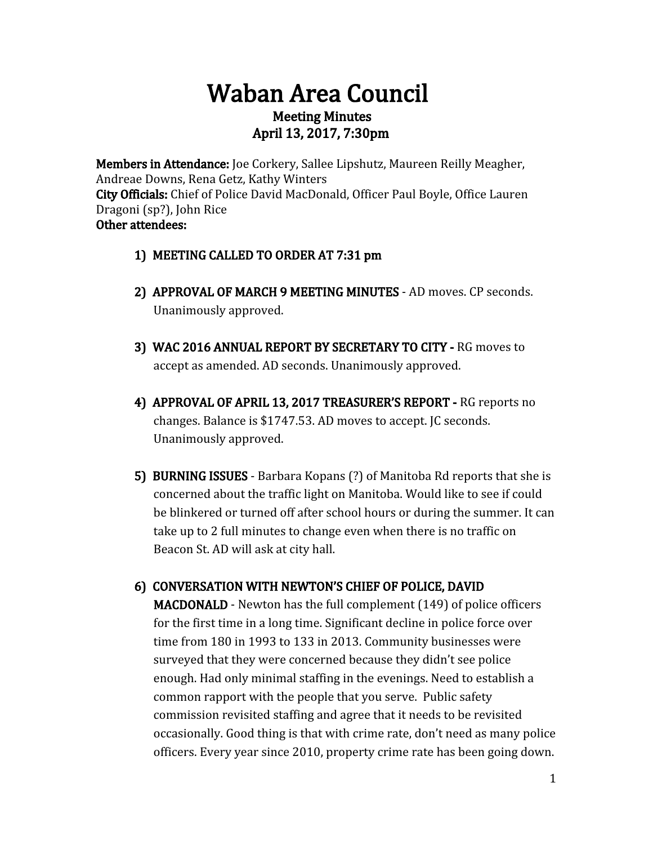# Waban Area Council Meeting Minutes April 13, 2017, 7:30pm

Members in Attendance: Joe Corkery, Sallee Lipshutz, Maureen Reilly Meagher, Andreae Downs, Rena Getz, Kathy Winters City Officials: Chief of Police David MacDonald, Officer Paul Boyle, Office Lauren Dragoni (sp?), John Rice Other attendees:

- 1) MEETING CALLED TO ORDER AT 7:31 pm
- 2) APPROVAL OF MARCH 9 MEETING MINUTES AD moves. CP seconds. Unanimously approved.
- 3) WAC 2016 ANNUAL REPORT BY SECRETARY TO CITY RG moves to accept as amended. AD seconds. Unanimously approved.
- 4) APPROVAL OF APRIL 13, 2017 TREASURER'S REPORT RG reports no changes. Balance is \$1747.53. AD moves to accept. JC seconds. Unanimously approved.
- 5) BURNING ISSUES Barbara Kopans (?) of Manitoba Rd reports that she is concerned about the traffic light on Manitoba. Would like to see if could be blinkered or turned off after school hours or during the summer. It can take up to 2 full minutes to change even when there is no traffic on Beacon St. AD will ask at city hall.

# 6) CONVERSATION WITH NEWTON'S CHIEF OF POLICE, DAVID

MACDONALD - Newton has the full complement (149) of police officers for the first time in a long time. Significant decline in police force over time from 180 in 1993 to 133 in 2013. Community businesses were surveyed that they were concerned because they didn't see police enough. Had only minimal staffing in the evenings. Need to establish a common rapport with the people that you serve. Public safety commission revisited staffing and agree that it needs to be revisited occasionally. Good thing is that with crime rate, don't need as many police officers. Every year since 2010, property crime rate has been going down.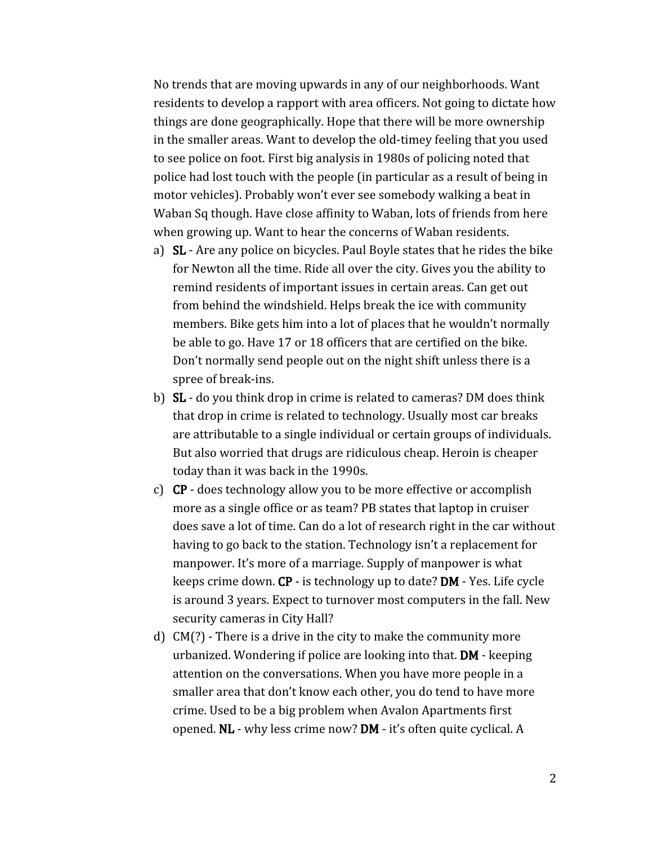No trends that are moving upwards in any of our neighborhoods. Want residents to develop a rapport with area officers. Not going to dictate how things are done geographically. Hope that there will be more ownership in the smaller areas. Want to develop the old-timey feeling that you used to see police on foot. First big analysis in 1980s of policing noted that police had lost touch with the people (in particular as a result of being in motor vehicles). Probably won't ever see somebody walking a beat in Waban Sq though. Have close affinity to Waban, lots of friends from here when growing up. Want to hear the concerns of Waban residents.

- a) SL Are any police on bicycles. Paul Boyle states that he rides the bike for Newton all the time. Ride all over the city. Gives you the ability to remind residents of important issues in certain areas. Can get out from behind the windshield. Helps break the ice with community members. Bike gets him into a lot of places that he wouldn't normally be able to go. Have 17 or 18 officers that are certified on the bike. Don't normally send people out on the night shift unless there is a spree of break-ins.
- b) SL do you think drop in crime is related to cameras? DM does think that drop in crime is related to technology. Usually most car breaks are attributable to a single individual or certain groups of individuals. But also worried that drugs are ridiculous cheap. Heroin is cheaper today than it was back in the 1990s.
- c) CP does technology allow you to be more effective or accomplish more as a single office or as team? PB states that laptop in cruiser does save a lot of time. Can do a lot of research right in the car without having to go back to the station. Technology isn't a replacement for manpower. It's more of a marriage. Supply of manpower is what keeps crime down. CP - is technology up to date? DM - Yes. Life cycle is around 3 years. Expect to turnover most computers in the fall. New security cameras in City Hall?
- d) CM(?) There is a drive in the city to make the community more urbanized. Wondering if police are looking into that. DM - keeping attention on the conversations. When you have more people in a smaller area that don't know each other, you do tend to have more crime. Used to be a big problem when Avalon Apartments first opened. NL - why less crime now? DM - it's often quite cyclical. A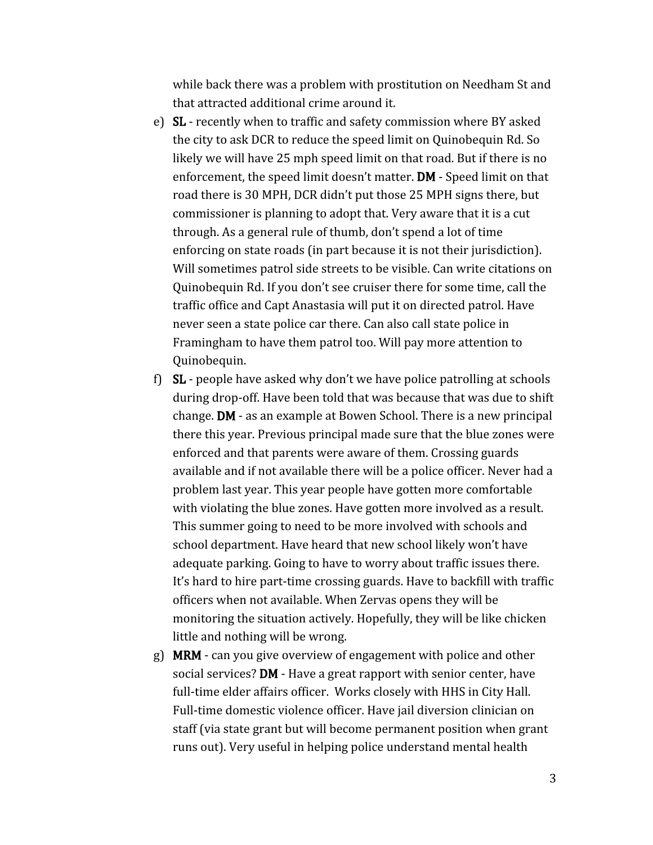while back there was a problem with prostitution on Needham St and that attracted additional crime around it.

- e) SL recently when to traffic and safety commission where BY asked the city to ask DCR to reduce the speed limit on Quinobequin Rd. So likely we will have 25 mph speed limit on that road. But if there is no enforcement, the speed limit doesn't matter. DM - Speed limit on that road there is 30 MPH, DCR didn't put those 25 MPH signs there, but commissioner is planning to adopt that. Very aware that it is a cut through. As a general rule of thumb, don't spend a lot of time enforcing on state roads (in part because it is not their jurisdiction). Will sometimes patrol side streets to be visible. Can write citations on Quinobequin Rd. If you don't see cruiser there for some time, call the traffic office and Capt Anastasia will put it on directed patrol. Have never seen a state police car there. Can also call state police in Framingham to have them patrol too. Will pay more attention to Quinobequin.
- f) SL people have asked why don't we have police patrolling at schools during drop-off. Have been told that was because that was due to shift change. DM - as an example at Bowen School. There is a new principal there this year. Previous principal made sure that the blue zones were enforced and that parents were aware of them. Crossing guards available and if not available there will be a police officer. Never had a problem last year. This year people have gotten more comfortable with violating the blue zones. Have gotten more involved as a result. This summer going to need to be more involved with schools and school department. Have heard that new school likely won't have adequate parking. Going to have to worry about traffic issues there. It's hard to hire part-time crossing guards. Have to backfill with traffic officers when not available. When Zervas opens they will be monitoring the situation actively. Hopefully, they will be like chicken little and nothing will be wrong.
- g) MRM can you give overview of engagement with police and other social services? DM - Have a great rapport with senior center, have full-time elder affairs officer. Works closely with HHS in City Hall. Full-time domestic violence officer. Have jail diversion clinician on staff (via state grant but will become permanent position when grant runs out). Very useful in helping police understand mental health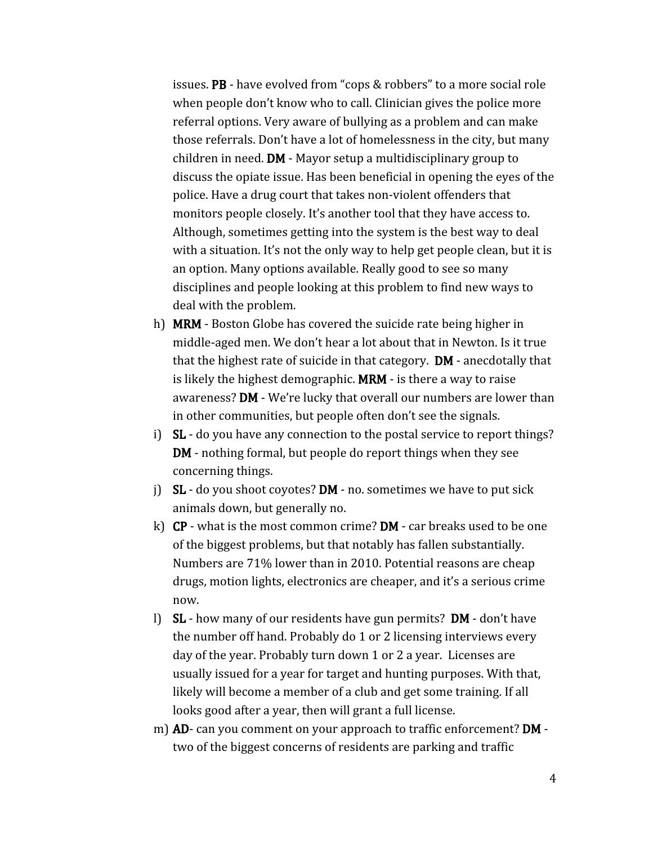issues. PB - have evolved from "cops & robbers" to a more social role when people don't know who to call. Clinician gives the police more referral options. Very aware of bullying as a problem and can make those referrals. Don't have a lot of homelessness in the city, but many children in need. DM - Mayor setup a multidisciplinary group to discuss the opiate issue. Has been beneficial in opening the eyes of the police. Have a drug court that takes non-violent offenders that monitors people closely. It's another tool that they have access to. Although, sometimes getting into the system is the best way to deal with a situation. It's not the only way to help get people clean, but it is an option. Many options available. Really good to see so many disciplines and people looking at this problem to find new ways to deal with the problem.

- h) MRM Boston Globe has covered the suicide rate being higher in middle-aged men. We don't hear a lot about that in Newton. Is it true that the highest rate of suicide in that category. DM - anecdotally that is likely the highest demographic. MRM - is there a way to raise awareness? DM - We're lucky that overall our numbers are lower than in other communities, but people often don't see the signals.
- i) SL do you have any connection to the postal service to report things? DM - nothing formal, but people do report things when they see concerning things.
- j)  $SL$  do you shoot coyotes? DM no. sometimes we have to put sick animals down, but generally no.
- k) CP what is the most common crime? DM car breaks used to be one of the biggest problems, but that notably has fallen substantially. Numbers are 71% lower than in 2010. Potential reasons are cheap drugs, motion lights, electronics are cheaper, and it's a serious crime now.
- l) SL how many of our residents have gun permits? DM don't have the number off hand. Probably do 1 or 2 licensing interviews every day of the year. Probably turn down 1 or 2 a year. Licenses are usually issued for a year for target and hunting purposes. With that, likely will become a member of a club and get some training. If all looks good after a year, then will grant a full license.
- m) **AD** can you comment on your approach to traffic enforcement? **DM** two of the biggest concerns of residents are parking and traffic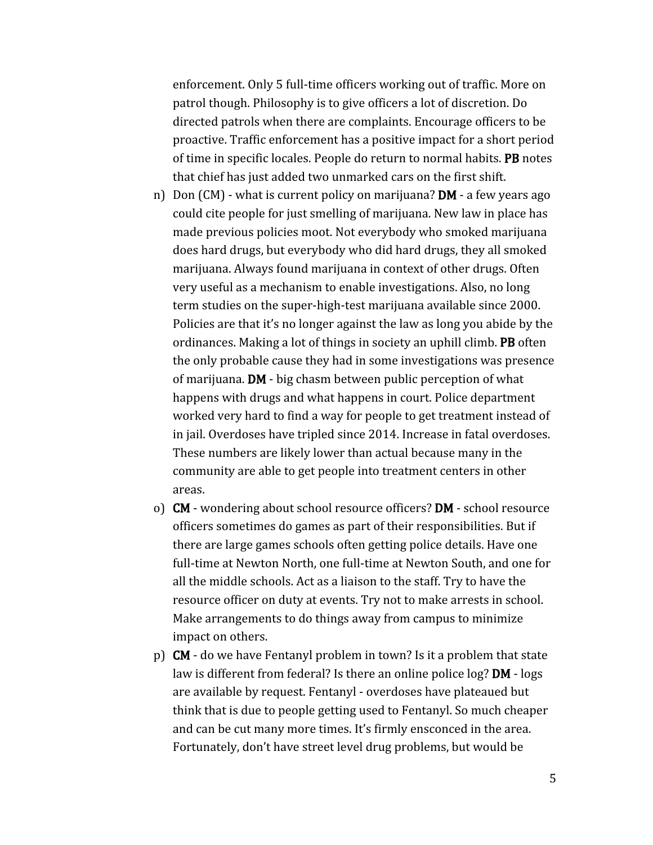enforcement. Only 5 full-time officers working out of traffic. More on patrol though. Philosophy is to give officers a lot of discretion. Do directed patrols when there are complaints. Encourage officers to be proactive. Traffic enforcement has a positive impact for a short period of time in specific locales. People do return to normal habits. PB notes that chief has just added two unmarked cars on the first shift.

- n) Don  $(M)$  what is current policy on marijuana? **DM** a few years ago could cite people for just smelling of marijuana. New law in place has made previous policies moot. Not everybody who smoked marijuana does hard drugs, but everybody who did hard drugs, they all smoked marijuana. Always found marijuana in context of other drugs. Often very useful as a mechanism to enable investigations. Also, no long term studies on the super-high-test marijuana available since 2000. Policies are that it's no longer against the law as long you abide by the ordinances. Making a lot of things in society an uphill climb. PB often the only probable cause they had in some investigations was presence of marijuana. DM - big chasm between public perception of what happens with drugs and what happens in court. Police department worked very hard to find a way for people to get treatment instead of in jail. Overdoses have tripled since 2014. Increase in fatal overdoses. These numbers are likely lower than actual because many in the community are able to get people into treatment centers in other areas.
- o) CM wondering about school resource officers? DM school resource officers sometimes do games as part of their responsibilities. But if there are large games schools often getting police details. Have one full-time at Newton North, one full-time at Newton South, and one for all the middle schools. Act as a liaison to the staff. Try to have the resource officer on duty at events. Try not to make arrests in school. Make arrangements to do things away from campus to minimize impact on others.
- p) CM do we have Fentanyl problem in town? Is it a problem that state law is different from federal? Is there an online police log? DM - logs are available by request. Fentanyl - overdoses have plateaued but think that is due to people getting used to Fentanyl. So much cheaper and can be cut many more times. It's firmly ensconced in the area. Fortunately, don't have street level drug problems, but would be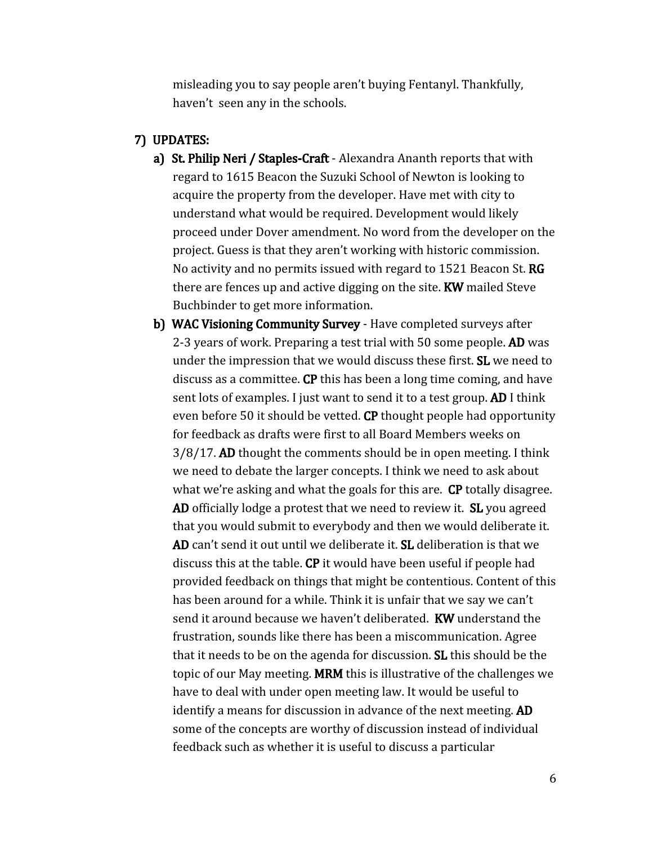misleading you to say people aren't buying Fentanyl. Thankfully, haven't seen any in the schools.

#### 7) UPDATES:

- a) St. Philip Neri / Staples-Craft Alexandra Ananth reports that with regard to 1615 Beacon the Suzuki School of Newton is looking to acquire the property from the developer. Have met with city to understand what would be required. Development would likely proceed under Dover amendment. No word from the developer on the project. Guess is that they aren't working with historic commission. No activity and no permits issued with regard to 1521 Beacon St. RG there are fences up and active digging on the site. KW mailed Steve Buchbinder to get more information.
- b) WAC Visioning Community Survey Have completed surveys after 2-3 years of work. Preparing a test trial with 50 some people. **AD** was under the impression that we would discuss these first. SL we need to discuss as a committee. CP this has been a long time coming, and have sent lots of examples. I just want to send it to a test group. AD I think even before 50 it should be vetted. CP thought people had opportunity for feedback as drafts were first to all Board Members weeks on 3/8/17. AD thought the comments should be in open meeting. I think we need to debate the larger concepts. I think we need to ask about what we're asking and what the goals for this are. **CP** totally disagree. AD officially lodge a protest that we need to review it. SL you agreed that you would submit to everybody and then we would deliberate it. AD can't send it out until we deliberate it. SL deliberation is that we discuss this at the table. CP it would have been useful if people had provided feedback on things that might be contentious. Content of this has been around for a while. Think it is unfair that we say we can't send it around because we haven't deliberated. **KW** understand the frustration, sounds like there has been a miscommunication. Agree that it needs to be on the agenda for discussion. SL this should be the topic of our May meeting. MRM this is illustrative of the challenges we have to deal with under open meeting law. It would be useful to identify a means for discussion in advance of the next meeting. AD some of the concepts are worthy of discussion instead of individual feedback such as whether it is useful to discuss a particular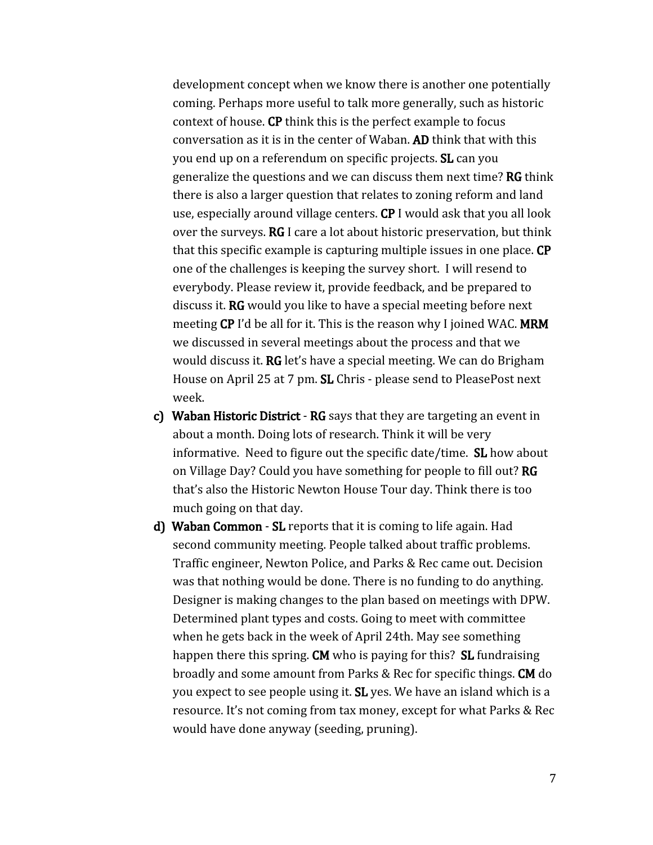development concept when we know there is another one potentially coming. Perhaps more useful to talk more generally, such as historic context of house. CP think this is the perfect example to focus conversation as it is in the center of Waban. AD think that with this you end up on a referendum on specific projects. SL can you generalize the questions and we can discuss them next time? RG think there is also a larger question that relates to zoning reform and land use, especially around village centers. CP I would ask that you all look over the surveys. RG I care a lot about historic preservation, but think that this specific example is capturing multiple issues in one place. CP one of the challenges is keeping the survey short. I will resend to everybody. Please review it, provide feedback, and be prepared to discuss it. RG would you like to have a special meeting before next meeting CP I'd be all for it. This is the reason why I joined WAC. MRM we discussed in several meetings about the process and that we would discuss it. RG let's have a special meeting. We can do Brigham House on April 25 at 7 pm. SL Chris - please send to PleasePost next week.

- c) Waban Historic District RG says that they are targeting an event in about a month. Doing lots of research. Think it will be very informative. Need to figure out the specific date/time. SL how about on Village Day? Could you have something for people to fill out? RG that's also the Historic Newton House Tour day. Think there is too much going on that day.
- d) Waban Common SL reports that it is coming to life again. Had second community meeting. People talked about traffic problems. Traffic engineer, Newton Police, and Parks & Rec came out. Decision was that nothing would be done. There is no funding to do anything. Designer is making changes to the plan based on meetings with DPW. Determined plant types and costs. Going to meet with committee when he gets back in the week of April 24th. May see something happen there this spring. **CM** who is paying for this? **SL** fundraising broadly and some amount from Parks & Rec for specific things. CM do you expect to see people using it. **SL** yes. We have an island which is a resource. It's not coming from tax money, except for what Parks & Rec would have done anyway (seeding, pruning).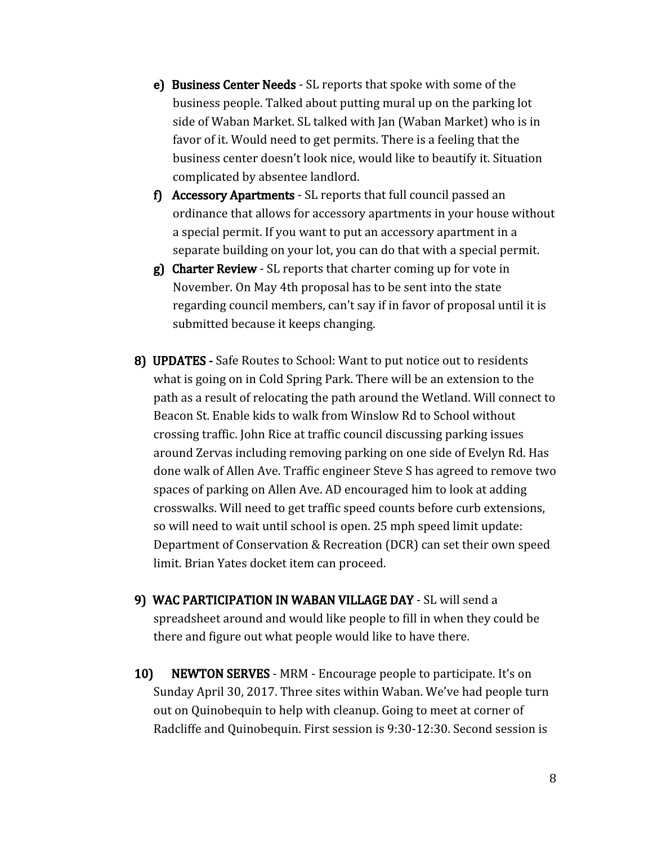- e) Business Center Needs SL reports that spoke with some of the business people. Talked about putting mural up on the parking lot side of Waban Market. SL talked with Jan (Waban Market) who is in favor of it. Would need to get permits. There is a feeling that the business center doesn't look nice, would like to beautify it. Situation complicated by absentee landlord.
- f) Accessory Apartments SL reports that full council passed an ordinance that allows for accessory apartments in your house without a special permit. If you want to put an accessory apartment in a separate building on your lot, you can do that with a special permit.
- g) Charter Review SL reports that charter coming up for vote in November. On May 4th proposal has to be sent into the state regarding council members, can't say if in favor of proposal until it is submitted because it keeps changing.
- 8) UPDATES Safe Routes to School: Want to put notice out to residents what is going on in Cold Spring Park. There will be an extension to the path as a result of relocating the path around the Wetland. Will connect to Beacon St. Enable kids to walk from Winslow Rd to School without crossing traffic. John Rice at traffic council discussing parking issues around Zervas including removing parking on one side of Evelyn Rd. Has done walk of Allen Ave. Traffic engineer Steve S has agreed to remove two spaces of parking on Allen Ave. AD encouraged him to look at adding crosswalks. Will need to get traffic speed counts before curb extensions, so will need to wait until school is open. 25 mph speed limit update: Department of Conservation & Recreation (DCR) can set their own speed limit. Brian Yates docket item can proceed.
- 9) WAC PARTICIPATION IN WABAN VILLAGE DAY SL will send a spreadsheet around and would like people to fill in when they could be there and figure out what people would like to have there.
- 10) NEWTON SERVES MRM Encourage people to participate. It's on Sunday April 30, 2017. Three sites within Waban. We've had people turn out on Quinobequin to help with cleanup. Going to meet at corner of Radcliffe and Quinobequin. First session is 9:30-12:30. Second session is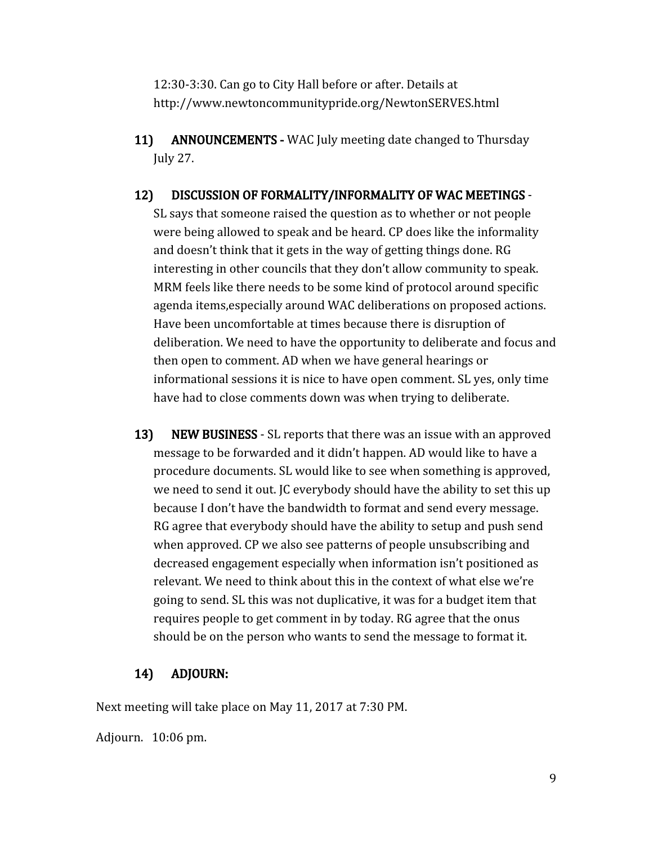12:30-3:30. Can go to City Hall before or after. Details at http://www.newtoncommunitypride.org/NewtonSERVES.html

11) ANNOUNCEMENTS - WAC July meeting date changed to Thursday July 27.

## 12) DISCUSSION OF FORMALITY/INFORMALITY OF WAC MEETINGS -

SL says that someone raised the question as to whether or not people were being allowed to speak and be heard. CP does like the informality and doesn't think that it gets in the way of getting things done. RG interesting in other councils that they don't allow community to speak. MRM feels like there needs to be some kind of protocol around specific agenda items,especially around WAC deliberations on proposed actions. Have been uncomfortable at times because there is disruption of deliberation. We need to have the opportunity to deliberate and focus and then open to comment. AD when we have general hearings or informational sessions it is nice to have open comment. SL yes, only time have had to close comments down was when trying to deliberate.

13) NEW BUSINESS - SL reports that there was an issue with an approved message to be forwarded and it didn't happen. AD would like to have a procedure documents. SL would like to see when something is approved, we need to send it out. JC everybody should have the ability to set this up because I don't have the bandwidth to format and send every message. RG agree that everybody should have the ability to setup and push send when approved. CP we also see patterns of people unsubscribing and decreased engagement especially when information isn't positioned as relevant. We need to think about this in the context of what else we're going to send. SL this was not duplicative, it was for a budget item that requires people to get comment in by today. RG agree that the onus should be on the person who wants to send the message to format it.

## 14) ADJOURN:

Next meeting will take place on May 11, 2017 at 7:30 PM.

Adjourn. 10:06 pm.